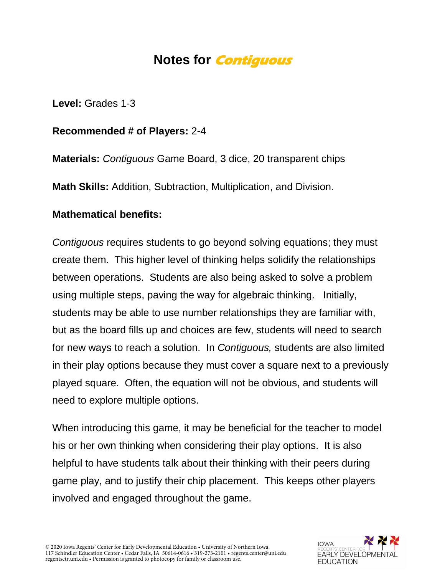## **Notes for Contiguous**

**Level:** Grades 1-3

**Recommended # of Players:** 2-4

**Materials:** *Contiguous* Game Board, 3 dice, 20 transparent chips

**Math Skills:** Addition, Subtraction, Multiplication, and Division.

## **Mathematical benefits:**

*Contiguous* requires students to go beyond solving equations; they must create them. This higher level of thinking helps solidify the relationships between operations. Students are also being asked to solve a problem using multiple steps, paving the way for algebraic thinking. Initially, students may be able to use number relationships they are familiar with, but as the board fills up and choices are few, students will need to search for new ways to reach a solution. In *Contiguous,* students are also limited in their play options because they must cover a square next to a previously played square. Often, the equation will not be obvious, and students will need to explore multiple options.

When introducing this game, it may be beneficial for the teacher to model his or her own thinking when considering their play options. It is also helpful to have students talk about their thinking with their peers during game play, and to justify their chip placement. This keeps other players involved and engaged throughout the game.

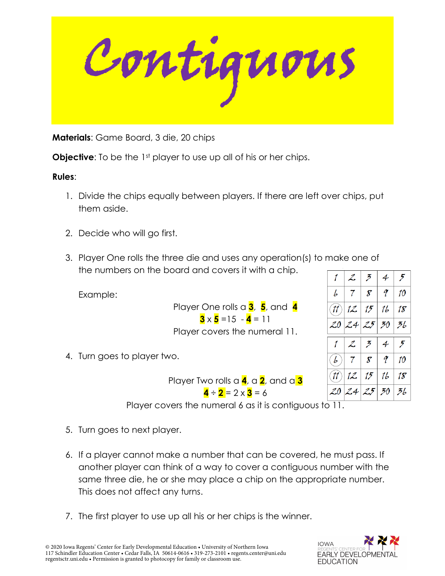Contiguous.

**Materials**: Game Board, 3 die, 20 chips

**Objective:** To be the 1<sup>st</sup> player to use up all of his or her chips.

## **Rules**:

- 1. Divide the chips equally between players. If there are left over chips, put them aside.
- 2. Decide who will go first.
- 3. Player One rolls the three die and uses any operation(s) to make one of the numbers on the board and covers it with a chip.

Example:

Player One rolls a **3**, **5**, and **4**  $3 \times 5 = 15 - 4 = 11$ 

|       | $\mathcal{Z}% _{M_{1},M_{2}}^{\alpha,\beta}(\varepsilon)$ | $\tilde{\mathcal{F}}$      | 4  | 5  |
|-------|-----------------------------------------------------------|----------------------------|----|----|
| L     | 7                                                         | $\boldsymbol{\mathcal{S}}$ | q  | 10 |
|       | (11) 12                                                   | 15                         | 16 | 18 |
| 20    | 24 25 30                                                  |                            |    | 36 |
|       |                                                           |                            |    |    |
|       | $\mathcal{Z}$                                             | $\mathcal{F}$              | 4  | 5  |
| ( b ) | 7 <sup>1</sup>                                            | 8 <sup>1</sup>             | q  | 10 |
| (11)  | 12.                                                       | 15                         | 16 | 18 |

Player covers the numeral 11.

4. Turn goes to player two.

Player Two rolls a **4**, a **2**, and a **3**  $\mathbf{A} - \mathbf{2} = 2 \times \mathbf{3} = 6$ 

Player covers the numeral 6 as it is contiguous to  $\overline{11}$ .

- 5. Turn goes to next player.
- 6. If a player cannot make a number that can be covered, he must pass. If another player can think of a way to cover a contiguous number with the same three die, he or she may place a chip on the appropriate number. This does not affect any turns.
- 7. The first player to use up all his or her chips is the winner.